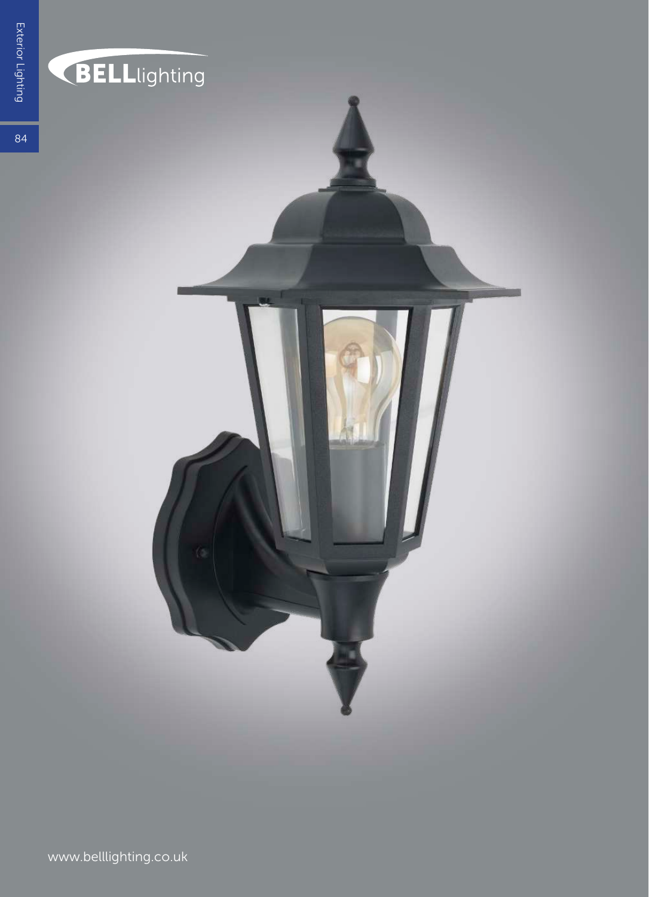

**BELL**lighting



www.belllighting.co.uk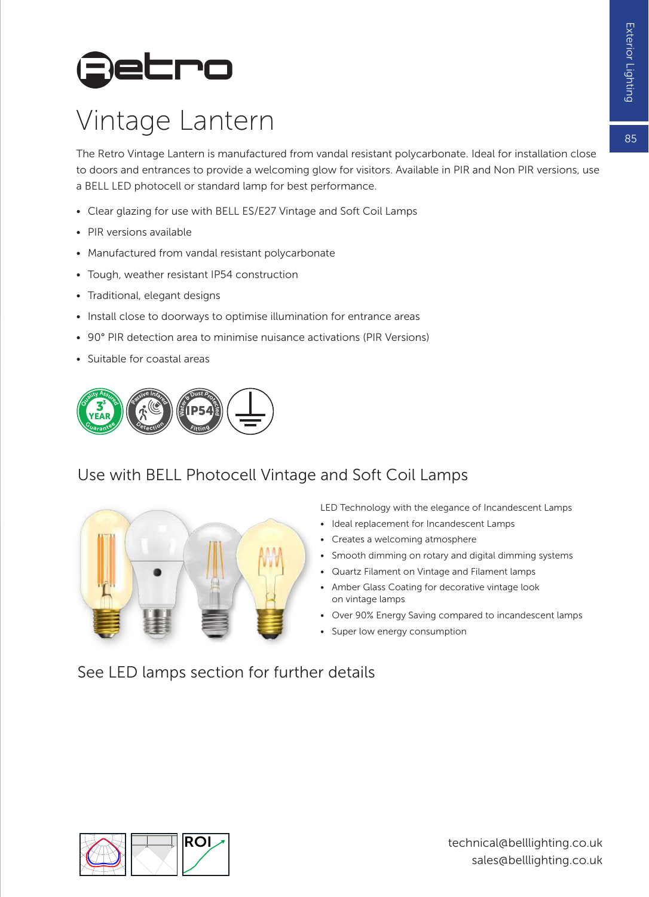

## Vintage Lantern

The Retro Vintage Lantern is manufactured from vandal resistant polycarbonate. Ideal for installation close to doors and entrances to provide a welcoming glow for visitors. Available in PIR and Non PIR versions, use a BELL LED photocell or standard lamp for best performance.

- Clear glazing for use with BELL ES/E27 Vintage and Soft Coil Lamps
- PIR versions available
- Manufactured from vandal resistant polycarbonate
- Tough, weather resistant IP54 construction
- Traditional, elegant designs
- Install close to doorways to optimise illumination for entrance areas
- 90° PIR detection area to minimise nuisance activations (PIR Versions)
- Suitable for coastal areas



## Use with BELL Photocell Vintage and Soft Coil Lamps



LED Technology with the elegance of Incandescent Lamps

- Ideal replacement for Incandescent Lamps
- Creates a welcoming atmosphere
- Smooth dimming on rotary and digital dimming systems
- Quartz Filament on Vintage and Filament lamps
- Amber Glass Coating for decorative vintage look on vintage lamps
- Over 90% Energy Saving compared to incandescent lamps
- Super low energy consumption

## See LED lamps section for further details

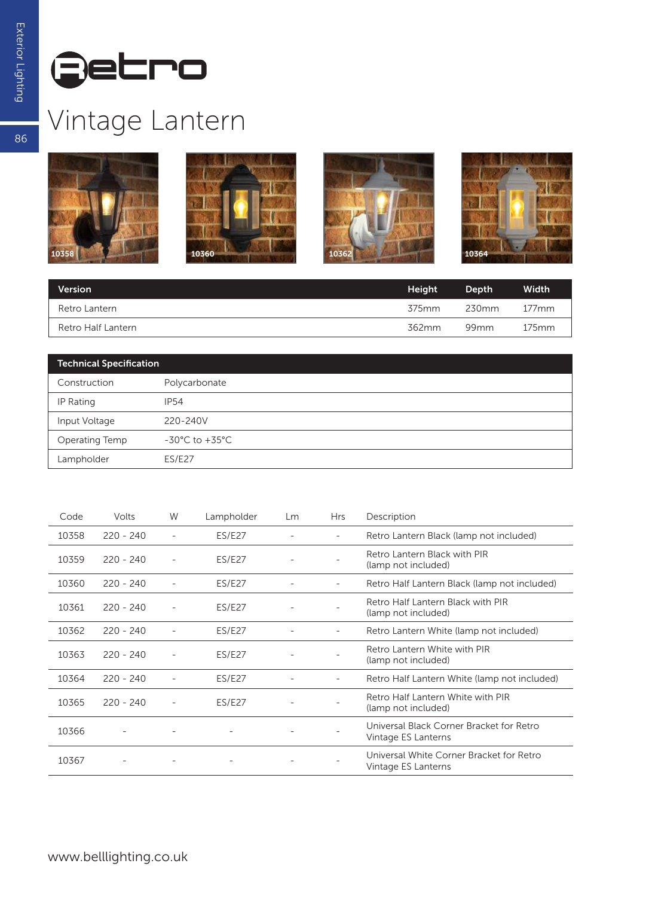

## Vintage Lantern









| Version            | Heiaht | Depth            | Width    |
|--------------------|--------|------------------|----------|
| Retro Lantern      | 375mm  | 230mm            | $177$ mm |
| Retro Half Lantern | 362mm  | 99 <sub>mm</sub> | 175mm    |

| <b>Technical Specification</b> |                                    |  |  |  |  |  |
|--------------------------------|------------------------------------|--|--|--|--|--|
| Construction                   | Polycarbonate                      |  |  |  |  |  |
| IP Rating                      | <b>IP54</b>                        |  |  |  |  |  |
| Input Voltage                  | 220-240V                           |  |  |  |  |  |
| Operating Temp                 | $-30^{\circ}$ C to $+35^{\circ}$ C |  |  |  |  |  |
| Lampholder                     | <b>ES/E27</b>                      |  |  |  |  |  |

| Code  | <b>Volts</b> | W | Lampholder               | $\mathsf{L}$ m | <b>Hrs</b> | Description                                                     |
|-------|--------------|---|--------------------------|----------------|------------|-----------------------------------------------------------------|
| 10358 | $220 - 240$  |   | <b>ES/E27</b>            |                |            | Retro Lantern Black (lamp not included)                         |
| 10359 | $220 - 240$  |   | <b>ES/E27</b>            |                |            | Retro Lantern Black with PIR<br>(lamp not included)             |
| 10360 | $220 - 240$  |   | <b>ES/E27</b>            |                |            | Retro Half Lantern Black (lamp not included)                    |
| 10361 | $220 - 240$  |   | <b>ES/E27</b>            |                |            | Retro Half Lantern Black with PIR<br>(lamp not included)        |
| 10362 | $220 - 240$  |   | <b>ES/E27</b>            |                |            | Retro Lantern White (lamp not included)                         |
| 10363 | $220 - 240$  |   | <b>ES/E27</b>            |                |            | Retro Lantern White with PIR<br>(lamp not included)             |
| 10364 | $220 - 240$  |   | <b>ES/E27</b>            |                |            | Retro Half Lantern White (lamp not included)                    |
| 10365 | $220 - 240$  |   | <b>ES/E27</b>            |                |            | Retro Half Lantern White with PIR<br>(lamp not included)        |
| 10366 |              |   |                          |                |            | Universal Black Corner Bracket for Retro<br>Vintage ES Lanterns |
| 10367 | ٠            |   | $\overline{\phantom{0}}$ |                |            | Universal White Corner Bracket for Retro<br>Vintage ES Lanterns |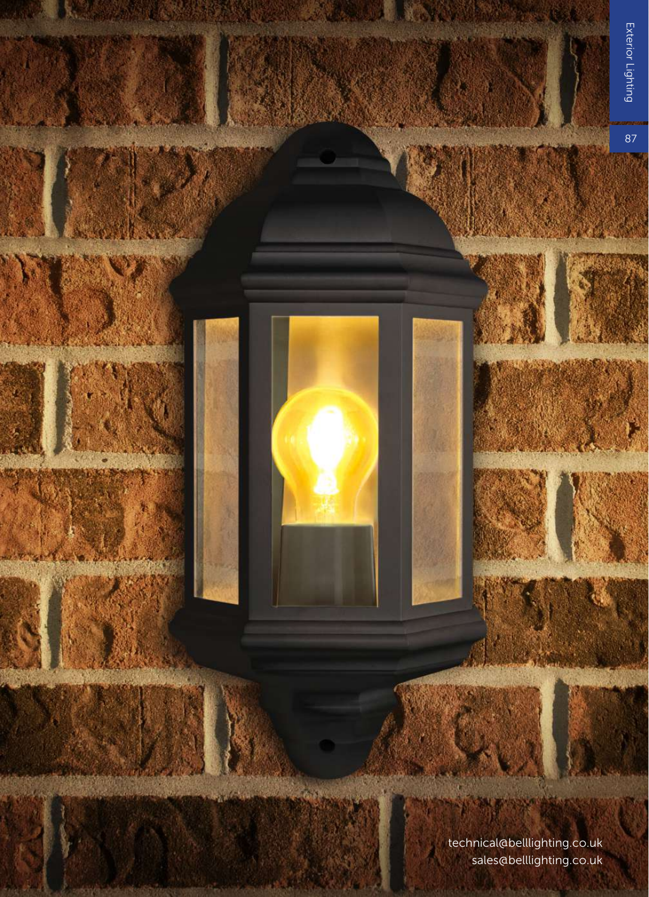technical@belllighting.co.uk sales@belllighting.co.uk

ł,

87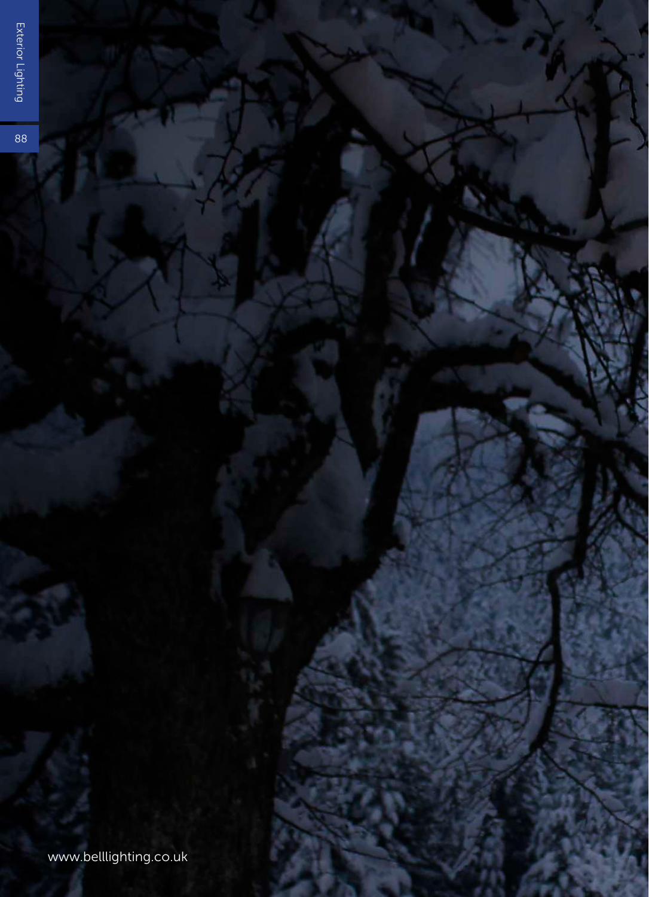